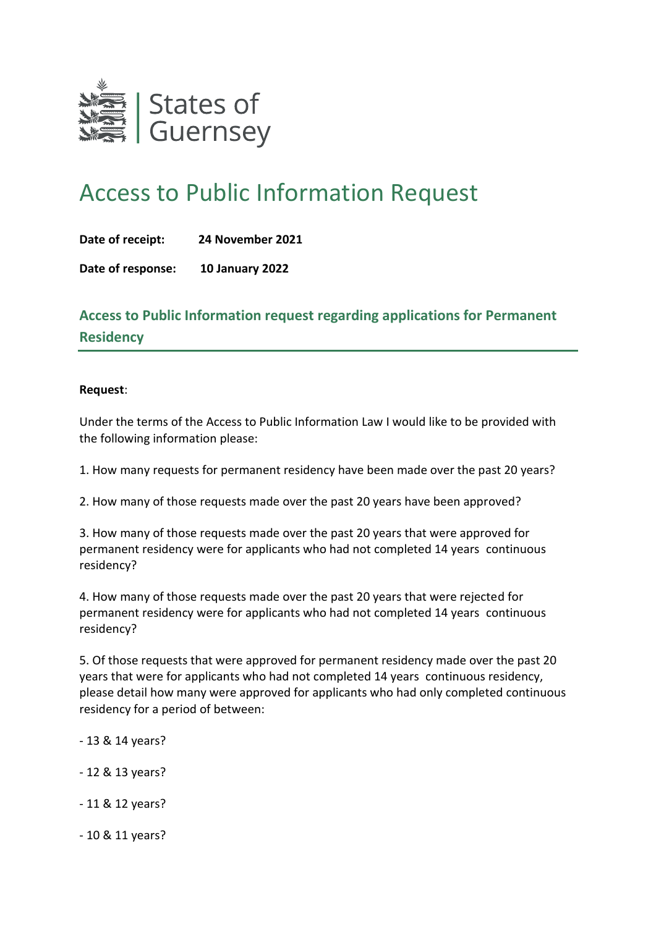

# Access to Public Information Request

|  | Date of receipt: | 24 November 2021 |
|--|------------------|------------------|
|--|------------------|------------------|

**Date of response: 10 January 2022**

**Access to Public Information request regarding applications for Permanent Residency**

#### **Request**:

Under the terms of the Access to Public Information Law I would like to be provided with the following information please:

1. How many requests for permanent residency have been made over the past 20 years?

2. How many of those requests made over the past 20 years have been approved?

3. How many of those requests made over the past 20 years that were approved for permanent residency were for applicants who had not completed 14 years continuous residency?

4. How many of those requests made over the past 20 years that were rejected for permanent residency were for applicants who had not completed 14 years continuous residency?

5. Of those requests that were approved for permanent residency made over the past 20 years that were for applicants who had not completed 14 years continuous residency, please detail how many were approved for applicants who had only completed continuous residency for a period of between:

- 13 & 14 years?
- 12 & 13 years?
- 11 & 12 years?
- 10 & 11 years?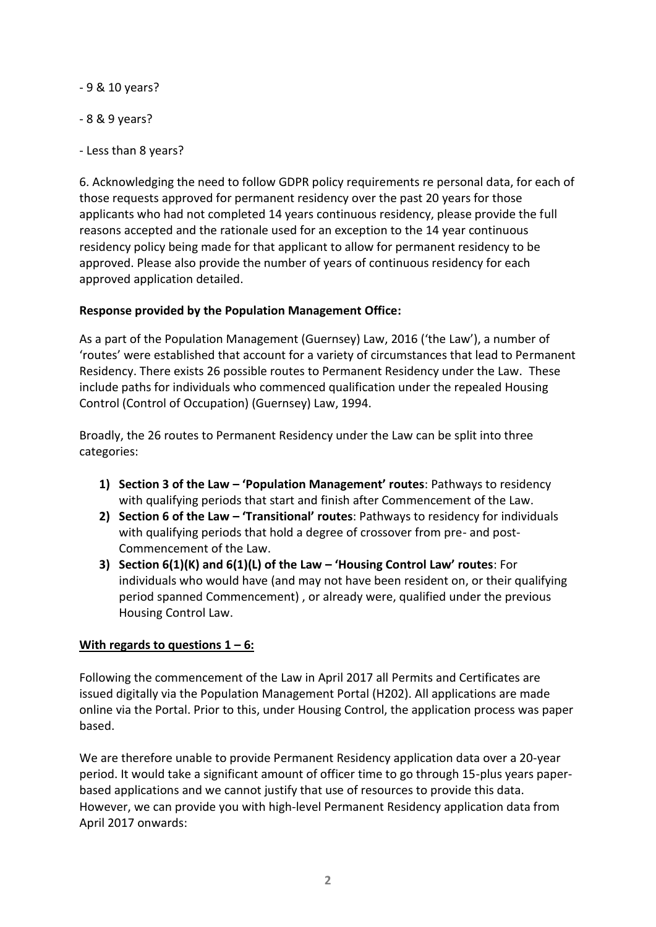- 9 & 10 years?

- 8 & 9 years?
- Less than 8 years?

6. Acknowledging the need to follow GDPR policy requirements re personal data, for each of those requests approved for permanent residency over the past 20 years for those applicants who had not completed 14 years continuous residency, please provide the full reasons accepted and the rationale used for an exception to the 14 year continuous residency policy being made for that applicant to allow for permanent residency to be approved. Please also provide the number of years of continuous residency for each approved application detailed.

## **Response provided by the Population Management Office:**

As a part of the Population Management (Guernsey) Law, 2016 ('the Law'), a number of 'routes' were established that account for a variety of circumstances that lead to Permanent Residency. There exists 26 possible routes to Permanent Residency under the Law. These include paths for individuals who commenced qualification under the repealed Housing Control (Control of Occupation) (Guernsey) Law, 1994.

Broadly, the 26 routes to Permanent Residency under the Law can be split into three categories:

- **1) Section 3 of the Law – 'Population Management' routes**: Pathways to residency with qualifying periods that start and finish after Commencement of the Law.
- **2) Section 6 of the Law – 'Transitional' routes**: Pathways to residency for individuals with qualifying periods that hold a degree of crossover from pre- and post-Commencement of the Law.
- **3) Section 6(1)(K) and 6(1)(L) of the Law – 'Housing Control Law' routes**: For individuals who would have (and may not have been resident on, or their qualifying period spanned Commencement) , or already were, qualified under the previous Housing Control Law.

## **With regards to questions 1 – 6:**

Following the commencement of the Law in April 2017 all Permits and Certificates are issued digitally via the Population Management Portal (H202). All applications are made online via the Portal. Prior to this, under Housing Control, the application process was paper based.

We are therefore unable to provide Permanent Residency application data over a 20-year period. It would take a significant amount of officer time to go through 15-plus years paperbased applications and we cannot justify that use of resources to provide this data. However, we can provide you with high-level Permanent Residency application data from April 2017 onwards: